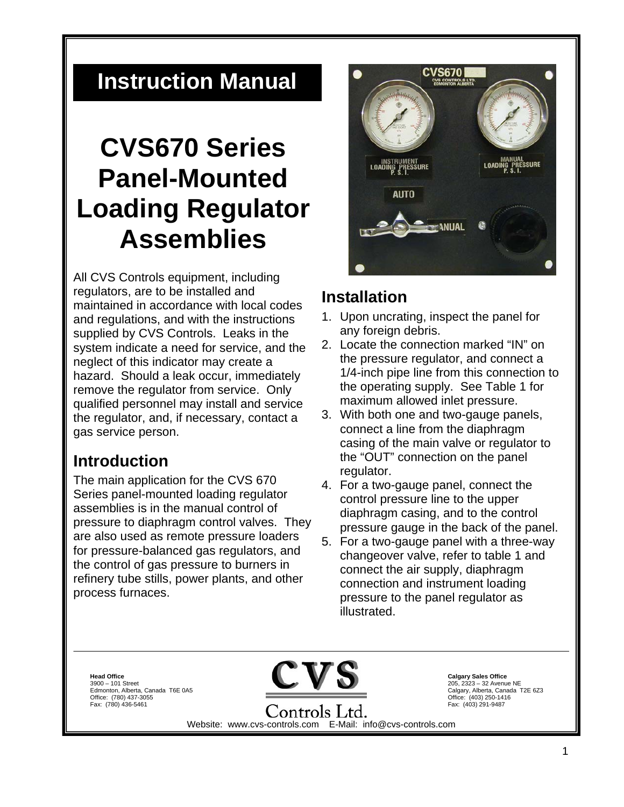# **Instruction Manual**

# **CVS670 Series Panel-Mounted Loading Regulator Assemblies**

All CVS Controls equipment, including regulators, are to be installed and maintained in accordance with local codes and regulations, and with the instructions supplied by CVS Controls. Leaks in the system indicate a need for service, and the neglect of this indicator may create a hazard. Should a leak occur, immediately remove the regulator from service. Only qualified personnel may install and service the regulator, and, if necessary, contact a gas service person.

# **Introduction**

The main application for the CVS 670 Series panel-mounted loading regulator assemblies is in the manual control of pressure to diaphragm control valves. They are also used as remote pressure loaders for pressure-balanced gas regulators, and the control of gas pressure to burners in refinery tube stills, power plants, and other process furnaces.



### **Installation**

- 1. Upon uncrating, inspect the panel for any foreign debris.
- 2. Locate the connection marked "IN" on the pressure regulator, and connect a 1/4-inch pipe line from this connection to the operating supply. See Table 1 for maximum allowed inlet pressure.
- 3. With both one and two-gauge panels, connect a line from the diaphragm casing of the main valve or regulator to the "OUT" connection on the panel regulator.
- 4. For a two-gauge panel, connect the control pressure line to the upper diaphragm casing, and to the control pressure gauge in the back of the panel.
- 5. For a two-gauge panel with a three-way changeover valve, refer to table 1 and connect the air supply, diaphragm connection and instrument loading pressure to the panel regulator as illustrated.

**Head Office**  3900 – 101 Street Edmonton, Alberta, Canada T6E 0A5 Office: (780) 437-3055 Fax: (780) 436-5461



**Calgary Sales Office** 205, 2323 – 32 Avenue NE Calgary, Alberta, Canada T2E 6Z3 Office: (403) 250-1416 Fax: (403) 291-9487

Controls Ltd. Website: www.cvs-controls.com E-Mail: info@cvs-controls.com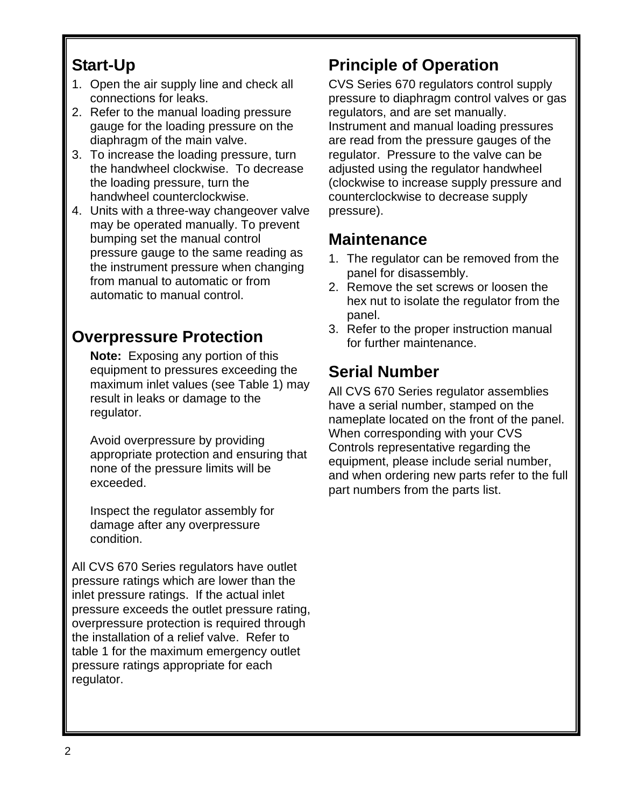# **Start-Up**

- 1. Open the air supply line and check all connections for leaks.
- 2. Refer to the manual loading pressure gauge for the loading pressure on the diaphragm of the main valve.
- 3. To increase the loading pressure, turn the handwheel clockwise. To decrease the loading pressure, turn the handwheel counterclockwise.
- 4. Units with a three-way changeover valve may be operated manually. To prevent bumping set the manual control pressure gauge to the same reading as the instrument pressure when changing from manual to automatic or from automatic to manual control.

# **Overpressure Protection**

**Note:** Exposing any portion of this equipment to pressures exceeding the maximum inlet values (see Table 1) may result in leaks or damage to the regulator.

Avoid overpressure by providing appropriate protection and ensuring that none of the pressure limits will be exceeded.

Inspect the regulator assembly for damage after any overpressure condition.

All CVS 670 Series regulators have outlet pressure ratings which are lower than the inlet pressure ratings. If the actual inlet pressure exceeds the outlet pressure rating, overpressure protection is required through the installation of a relief valve. Refer to table 1 for the maximum emergency outlet pressure ratings appropriate for each regulator.

# **Principle of Operation**

CVS Series 670 regulators control supply pressure to diaphragm control valves or gas regulators, and are set manually. Instrument and manual loading pressures are read from the pressure gauges of the regulator. Pressure to the valve can be adjusted using the regulator handwheel (clockwise to increase supply pressure and counterclockwise to decrease supply pressure).

# **Maintenance**

- 1. The regulator can be removed from the panel for disassembly.
- 2. Remove the set screws or loosen the hex nut to isolate the regulator from the panel.
- 3. Refer to the proper instruction manual for further maintenance.

# **Serial Number**

All CVS 670 Series regulator assemblies have a serial number, stamped on the nameplate located on the front of the panel. When corresponding with your CVS Controls representative regarding the equipment, please include serial number, and when ordering new parts refer to the full part numbers from the parts list.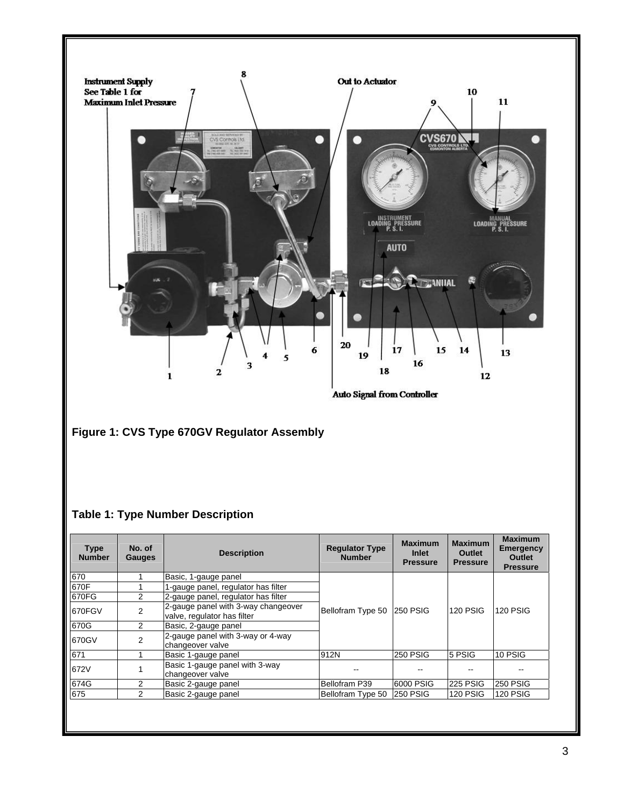

| 670    |   | Basic, 1-gauge panel                                               |                   | <b>250 PSIG</b> | <b>120 PSIG</b> | <b>120 PSIG</b> |
|--------|---|--------------------------------------------------------------------|-------------------|-----------------|-----------------|-----------------|
| 670F   |   | 1-gauge panel, regulator has filter                                |                   |                 |                 |                 |
| 670FG  |   | 2-gauge panel, regulator has filter                                |                   |                 |                 |                 |
| 670FGV |   | 2-gauge panel with 3-way changeover<br>valve, regulator has filter | Bellofram Type 50 |                 |                 |                 |
| 670G   | 2 | Basic, 2-gauge panel                                               |                   |                 |                 |                 |
| 670GV  | 2 | 2-gauge panel with 3-way or 4-way<br>changeover valve              |                   |                 |                 |                 |
| 671    |   | Basic 1-gauge panel                                                | 912N              | <b>250 PSIG</b> | 5 PSIG          | 10 PSIG         |
| 672V   |   | Basic 1-gauge panel with 3-way<br>changeover valve                 |                   |                 |                 |                 |
| 674G   |   | Basic 2-gauge panel                                                | Bellofram P39     | 6000 PSIG       | 225 PSIG        | <b>250 PSIG</b> |
| 675    | 2 | Basic 2-gauge panel                                                | Bellofram Type 50 | <b>250 PSIG</b> | <b>120 PSIG</b> | <b>120 PSIG</b> |
|        |   |                                                                    |                   |                 |                 |                 |